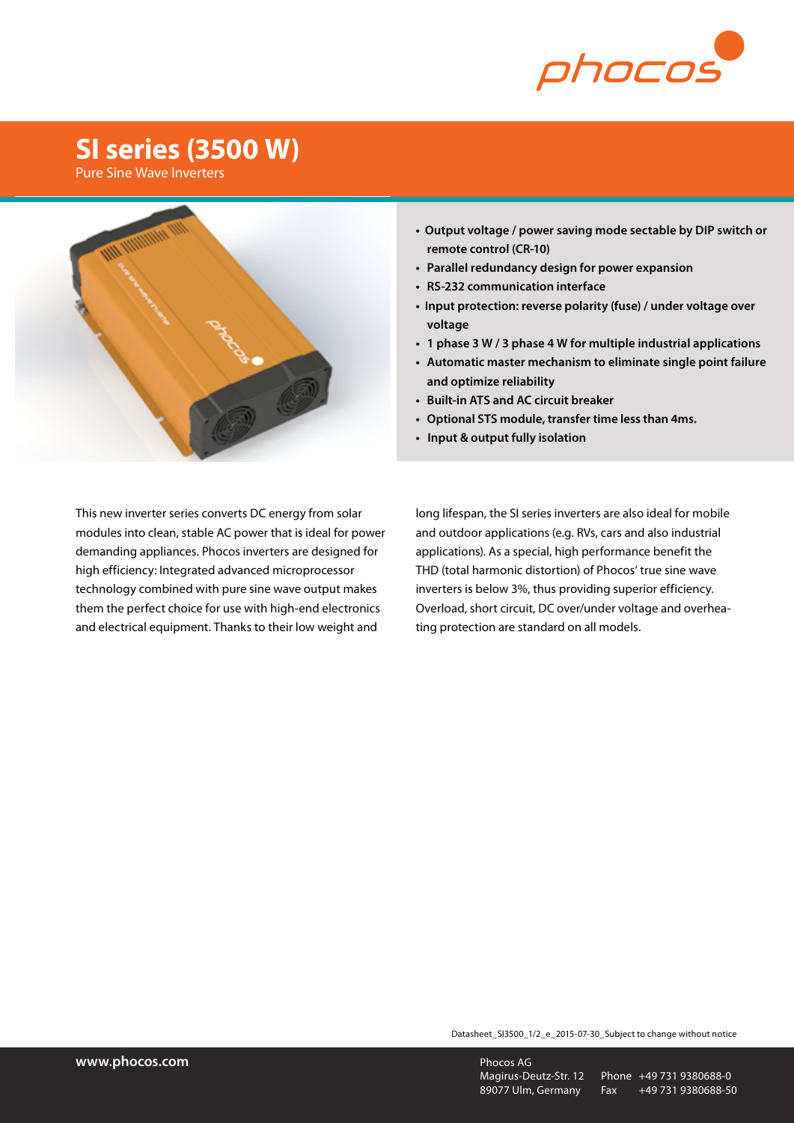

## **SI series (3500 W)**

Pure Sine Wave Inverters



- **Output voltage / power saving mode sectable by DIP switch or remote control (CR-10)**
- **• Parallel redundancy design for power expansion**
- **• RS-232 communication interface**
- **Input protection: reverse polarity (fuse) / under voltage over voltage**
- **• 1 phase 3 W / 3 phase 4 W for multiple industrial applications**
- **• Automatic master mechanism to eliminate single point failure and optimize reliability**
- **• Built-in ATS and AC circuit breaker**
- **• Optional STS module, transfer time less than 4ms.**
- **Input & output fully isolation**

This new inverter series converts DC energy from solar modules into clean, stable AC power that is ideal for power demanding appliances. Phocos inverters are designed for high efficiency: Integrated advanced microprocessor technology combined with pure sine wave output makes them the perfect choice for use with high-end electronics and electrical equipment. Thanks to their low weight and

long lifespan, the SI series inverters are also ideal for mobile and outdoor applications (e.g. RVs, cars and also industrial applications). As a special, high performance benefit the THD (total harmonic distortion) of Phocos' true sine wave inverters is below 3%, thus providing superior efficiency. Overload, short circuit, DC over/under voltage and overheating protection are standard on all models.